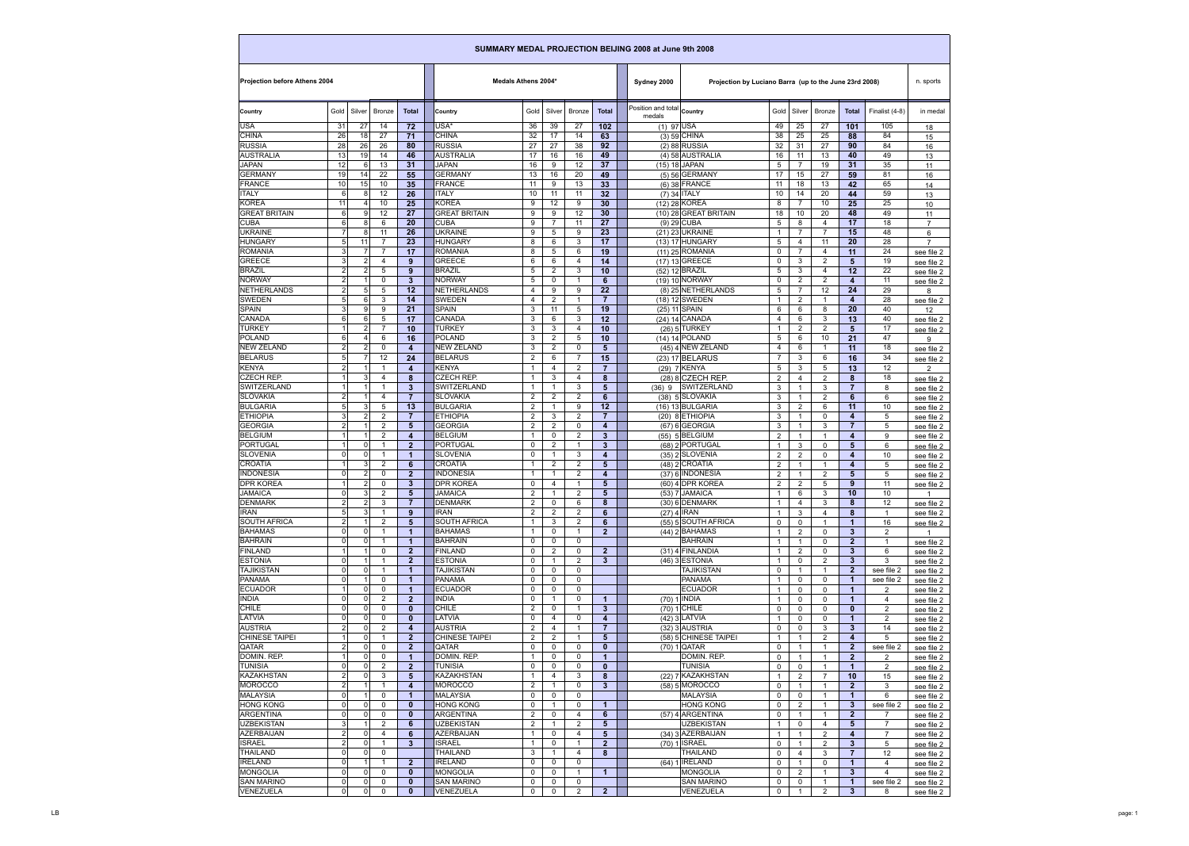| SUMMARY MEDAL PROJECTION BEIJING 2008 at June 9th 2008 |                      |                       |                               |                                        |                                    |                     |                                |                     |                                      |                                      |                                                        |                                  |                                |                                  |                                  |                                  |                          |
|--------------------------------------------------------|----------------------|-----------------------|-------------------------------|----------------------------------------|------------------------------------|---------------------|--------------------------------|---------------------|--------------------------------------|--------------------------------------|--------------------------------------------------------|----------------------------------|--------------------------------|----------------------------------|----------------------------------|----------------------------------|--------------------------|
| <b>Projection before Athens 2004</b>                   |                      |                       |                               |                                        |                                    | Medals Athens 2004* |                                |                     |                                      | Sydney 2000                          | Projection by Luciano Barra (up to the June 23rd 2008) |                                  |                                |                                  |                                  | n. sports                        |                          |
| Country                                                | Gold                 | Silver                | <b>Bronze</b>                 | <b>Total</b>                           | Country                            | Gold                | Silver                         | <b>Bronze</b>       | <b>Total</b>                         | Position and total Country<br>medals |                                                        | Gold                             | Silver                         | Bronze                           | <b>Total</b>                     | Finalist (4-8)                   | in medal                 |
| <b>USA</b>                                             | 31                   | 27                    | 14                            | 72                                     | USA*                               | 36                  | 39                             | 27                  | 102                                  | $(1)$ 97 USA                         |                                                        | 49                               | 25                             | 27                               | 101                              | 105                              | 18                       |
| <b>CHINA</b>                                           | 26                   | 18                    | 27                            | 71                                     | <b>CHINA</b>                       | 32                  | 17                             | 14                  | 63                                   |                                      | $(3)$ 59 CHINA                                         | 38                               | 25                             | 25                               | 88                               | 84                               | 15                       |
| <b>RUSSIA</b>                                          | 28                   | 26                    | 26                            | 80                                     | <b>RUSSIA</b><br><b>AUSTRALIA</b>  | 27                  | 27                             | 38                  | 92                                   |                                      | $(2)$ 88 RUSSIA                                        | 32                               | 31                             | 27                               | 90                               | 84                               | 16                       |
| <b>AUSTRALIA</b><br><b>JAPAN</b>                       | 13<br>12             | 19<br>6               | 14<br>13                      | 46<br>31                               | <b>JAPAN</b>                       | 17<br>16            | 16<br>9                        | 16<br>12            | 49<br>$\overline{37}$                |                                      | (4) 58 AUSTRALIA<br>(15) 18 JAPAN                      | 16<br>5                          | 11<br>$\overline{7}$           | 13<br>19                         | 40<br>31                         | 49<br>35                         | 13<br>11                 |
| <b>GERMANY</b>                                         | 19                   | 14                    | 22                            | 55                                     | <b>GERMANY</b>                     | 13                  | 16                             | 20                  | 49                                   |                                      | $(5)$ 56 GERMANY                                       | 17                               | 15                             | 27                               | 59                               | 81                               | 16                       |
| <b>FRANCE</b>                                          | 10                   | 15                    | 10                            | 35                                     | <b>FRANCE</b>                      | 11                  | 9                              | 13                  | 33                                   |                                      | (6) 38 FRANCE                                          | 11                               | 18                             | 13                               | 42                               | 65                               | 14                       |
| <b>ITALY</b>                                           | 6                    | 8                     | 12                            | 26                                     | <b>ITALY</b>                       | 10                  | 11                             | 11                  | 32                                   |                                      | (7) 34 ITALY                                           | 10                               | 14                             | 20                               | 44                               | 59                               | 13                       |
| <b>KOREA</b>                                           | 11                   |                       | 10                            | 25                                     | <b>KOREA</b>                       | 9                   | 12                             | 9                   | 30                                   |                                      | (12) 28 KOREA                                          | 8                                | $\overline{7}$                 | 10                               | 25                               | 25                               | 10                       |
| <b>GREAT BRITAIN</b>                                   | 6                    | 9                     | 12                            | 27                                     | <b>GREAT BRITAIN</b>               | 9                   | 9                              | 12                  | 30                                   |                                      | (10) 28 GREAT BRITAIN                                  | 18                               | 10                             | 20                               | 48                               | 49                               | 11                       |
| <b>CUBA</b><br><b>UKRAINE</b>                          | 6                    | 8<br>8                | 6<br>11                       | 20<br>26                               | <b>CUBA</b><br><b>UKRAINE</b>      | 9<br>9              | $\overline{7}$<br>5            | 11<br>9             | 27<br>23                             |                                      | (9) 29 CUBA<br>(21) 23 UKRAINE                         | 5<br>$\mathbf{1}$                | 8<br>$\overline{7}$            | 4<br>$\overline{7}$              | 17<br>15                         | 18<br>48                         | $\overline{7}$           |
| <b>HUNGARY</b>                                         | 5                    | 11                    | $\overline{7}$                | 23                                     | <b>HUNGARY</b>                     | 8                   | 6                              | 3                   | 17                                   |                                      | (13) 17 HUNGARY                                        | 5                                | 4                              | 11                               | 20                               | 28                               | 6<br>$\overline{7}$      |
| <b>ROMANIA</b>                                         | 3                    |                       | $\overline{7}$                | 17                                     | <b>ROMANIA</b>                     | 8                   | 5                              | 6                   | 19                                   |                                      | (11) 25 ROMANIA                                        | 0                                | $\overline{7}$                 | 4                                | 11                               | 24                               | see file 2               |
| <b>GREECE</b>                                          | 3                    | $\overline{2}$        | $\overline{4}$                | 9                                      | <b>GREECE</b>                      | 6                   | 6                              | $\overline{4}$      | 14                                   |                                      | (17) 13 GREECE                                         | 0                                | 3                              | $\overline{2}$                   | 5                                | 19                               | see file 2               |
| <b>BRAZIL</b>                                          | $\overline{2}$       | $\overline{2}$        | 5                             | 9                                      | <b>BRAZIL</b>                      | 5                   | 2                              | 3                   | 10                                   |                                      | (52) 12 BRAZIL                                         | 5                                | 3                              | 4                                | 12                               | 22                               | see file 2               |
| <b>NORWAY</b>                                          | $\overline{2}$       |                       | $\Omega$                      | $\mathbf{3}$                           | <b>NORWAY</b>                      | 5                   | 0                              | -1                  | 6                                    |                                      | (19) 10 NORWAY                                         | 0                                | $\overline{2}$                 | $\overline{2}$                   | $\overline{\mathbf{4}}$          | 11                               | see file 2               |
| <b>NETHERLANDS</b>                                     | $\overline{2}$       | 5                     | 5                             | 12                                     | <b>NETHERLANDS</b>                 | 4                   | 9                              | 9                   | 22                                   |                                      | (8) 25 NETHERLANDS                                     | 5                                | 7                              | 12                               | 24                               | 29                               | 8                        |
| <b>SWEDEN</b>                                          | 5                    | 6                     | 3                             | 14                                     | <b>SWEDEN</b>                      | 4                   | 2                              | -1                  | $\overline{7}$                       |                                      | (18) 12 SWEDEN                                         | 1                                | $\overline{2}$                 | -1                               | $\overline{\mathbf{4}}$          | 28                               | see file 2               |
| <b>SPAIN</b>                                           | 3                    | 9                     | 9                             | 21                                     | SPAIN                              | 3                   | 11                             | 5                   | 19                                   |                                      | (25) 11 SPAIN                                          | 6                                | 6                              | 8                                | 20                               | 40                               | 12                       |
| <b>CANADA</b><br><b>TURKEY</b>                         | 6<br>1               | 6<br>$\overline{2}$   | 5<br>$\overline{7}$           | 17                                     | <b>CANADA</b><br><b>TURKEY</b>     | 3                   | 6<br>3                         | 3<br>4              | 12                                   |                                      | (24) 14 CANADA<br>(26) 5 TURKEY                        | $\overline{4}$<br>-1             | 6                              | 3                                | 13                               | 40<br>17                         | see file 2               |
| <b>POLAND</b>                                          | 6                    | 4                     | 6                             | 10<br>16                               | <b>POLAND</b>                      | 3<br>3              | $\overline{2}$                 | 5                   | 10<br>10                             |                                      | (14) 14 POLAND                                         | 5                                | $\overline{2}$<br>6            | $\overline{2}$<br>10             | 5<br>21                          | 47                               | see file 2               |
| <b>NEW ZELAND</b>                                      | $\overline{2}$       | $\overline{2}$        | $\mathbf 0$                   | $\overline{\mathbf{4}}$                | <b>NEW ZELAND</b>                  | 3                   | $\overline{2}$                 | 0                   | 5                                    |                                      | (45) 4 NEW ZELAND                                      | 4                                | 6                              | $\overline{1}$                   | 11                               | 18                               | 9<br>see file 2          |
| <b>BELARUS</b>                                         | 5                    |                       | 12                            | 24                                     | <b>BELARUS</b>                     | $\overline{2}$      | 6                              | $\overline{7}$      | 15                                   |                                      | $(23)$ 17 BELARUS                                      | $\overline{7}$                   | 3                              | 6                                | 16                               | 34                               | see file 2               |
| <b>KENYA</b>                                           | $\overline{2}$       |                       | -1                            | 4                                      | <b>KENYA</b>                       | $\mathbf{1}$        | 4                              | $\overline{2}$      | $\overline{7}$                       |                                      | (29) 7 KENYA                                           | 5                                | 3                              | 5                                | 13                               | 12                               | 2                        |
| <b>CZECH REP.</b>                                      |                      | 3                     | 4                             | 8                                      | <b>CZECH REP.</b>                  | 1                   | 3                              | 4                   | 8                                    |                                      | (28) 8 CZECH REP.                                      | $\overline{2}$                   | $\overline{4}$                 | $\overline{2}$                   | 8                                | 18                               | see file 2               |
| <b>SWITZERLAND</b>                                     | 1                    |                       | $\mathbf 1$                   | 3 <sup>2</sup>                         | SWITZERLAND                        | 1                   | $\mathbf{1}$                   | 3                   | 5                                    | (36) 9                               | SWITZERLAND                                            | 3                                | $\mathbf{1}$                   | 3                                | $\overline{7}$                   | 8                                | see file 2               |
| <b>SLOVAKIA</b>                                        | $\overline{2}$       |                       | 4                             | $\overline{7}$                         | <b>SLOVAKIA</b>                    | $\overline{2}$      | 2                              | $\overline{2}$      | 6                                    |                                      | (38) 5 SLOVAKIA                                        | 3                                | $\mathbf{1}$                   | $\overline{2}$                   | 6                                | 6                                | see file 2               |
| <b>BULGARIA</b>                                        | 5                    | 3                     | 5                             | 13                                     | <b>BULGARIA</b>                    | $\overline{2}$      | $\mathbf{1}$                   | 9                   | 12                                   |                                      | $(16)$ 13 BULGARIA                                     | 3                                | $\overline{2}$                 | 6                                | 11                               | 10                               | see file 2               |
| <b>ETHIOPIA</b>                                        | 3                    | $\overline{2}$        | $\overline{2}$                | $\overline{7}$                         | <b>ETHIOPIA</b>                    | $\overline{2}$      | 3                              | $\overline{2}$      | $\overline{7}$                       |                                      | $(20)$ 8 ETHIOPIA                                      | 3                                | $\overline{1}$                 | $\mathbf{0}$                     | $\overline{\mathbf{4}}$          | 5                                | see file 2               |
| <b>GEORGIA</b>                                         | $\overline{2}$       |                       | $\overline{2}$                | 5                                      | <b>GEORGIA</b>                     | $\overline{2}$      | 2                              | 0                   | $\overline{\mathbf{4}}$              |                                      | $(67)$ 6 GEORGIA                                       | 3                                | $\mathbf{1}$                   | 3                                | $\overline{7}$                   | 5                                | see file 2               |
| <b>BELGIUM</b>                                         |                      |                       | $\overline{2}$                | 4                                      | <b>BELGIUM</b>                     | 1                   | 0                              | 2                   | 3                                    |                                      | $(55)$ 5 BELGIUM                                       | $\overline{2}$                   | $\overline{1}$                 | -1                               | 4                                | 9                                | see file 2               |
| PORTUGAL<br><b>SLOVENIA</b>                            | $\overline{0}$       | $\Omega$<br>$\pmb{0}$ | $\mathbf{1}$<br>$\mathbf{1}$  | $\overline{2}$<br>1 <sup>1</sup>       | <b>PORTUGAL</b><br><b>SLOVENIA</b> | 0<br>0              | 2<br>$\mathbf{1}$              | $\mathbf{1}$<br>3   | 3                                    |                                      | (68) 2 PORTUGAL<br>(35) 2 SLOVENIA                     | $\mathbf 1$                      | 3                              | 0                                | 5<br>$\overline{\mathbf{4}}$     | 6<br>10                          | see file 2               |
| <b>CROATIA</b>                                         |                      | 3                     | $\overline{2}$                | 6                                      | <b>CROATIA</b>                     |                     | $\overline{2}$                 | $\overline{2}$      | $\overline{\mathbf{4}}$<br>5         |                                      | $(48)$ 2 CROATIA                                       | $\overline{a}$<br>$\overline{2}$ | 2 <sup>7</sup><br>$\mathbf{1}$ | $\mathbf 0$<br>-1                | 4                                | 5                                | see file 2<br>see file 2 |
| <b>INDONESIA</b>                                       | $\overline{0}$       | $\overline{2}$        | $\Omega$                      | $\overline{2}$                         | <b>INDONESIA</b>                   | $\mathbf{1}$        | $\mathbf{1}$                   | $\mathbf{2}$        | 4                                    |                                      | (37) 6 INDONESIA                                       | $\overline{2}$                   | $\mathbf{1}$                   | $\overline{2}$                   | 5                                | 5                                | see file 2               |
| <b>DPR KOREA</b>                                       |                      | $\overline{2}$        | $\mathbf 0$                   | 3 <sup>2</sup>                         | <b>DPR KOREA</b>                   | 0                   | 4                              | $\mathbf 1$         | $5\phantom{1}$                       |                                      | $(60)$ 4 DPR KOREA                                     | 2                                | $\overline{2}$                 | 5                                | 9                                | 11                               | see file 2               |
| <b>JAMAICA</b>                                         | $\Omega$             | 3                     | $\overline{2}$                | 5                                      | <b>JAMAICA</b>                     | $\overline{2}$      | $\mathbf{1}$                   | $\overline{2}$      | $5\phantom{1}$                       |                                      | (53) 7 JAMAICA                                         | $\overline{1}$                   | 6                              | 3                                | 10                               | 10                               | $\mathbf{1}$             |
| <b>DENMARK</b>                                         | $\overline{2}$       | $\overline{2}$        | 3                             | $\overline{7}$                         | <b>DENMARK</b>                     | $\overline{2}$      | 0                              | 6                   | 8                                    |                                      | $(30)$ 6 DENMARK                                       | 1                                | 4                              | 3                                | 8                                | 12                               | see file 2               |
| <b>IRAN</b>                                            | 5                    | 3                     | $\mathbf 1$                   | 9                                      | <b>IRAN</b>                        | $\overline{2}$      | 2                              | $\overline{2}$      | $6\phantom{1}$                       |                                      | $(27)$ 4 IRAN                                          | -1                               | 3                              | 4                                | 8                                | $\mathbf{1}$                     | see file 2               |
| <b>SOUTH AFRICA</b>                                    | $\overline{2}$       |                       | $\overline{2}$                | 5                                      | <b>SOUTH AFRICA</b>                | $\mathbf{1}$        | 3                              | $\mathbf{2}$        | 6                                    |                                      | (55) 5 SOUTH AFRICA                                    | $\mathbf 0$                      | $\mathbf 0$                    | -1                               | $\mathbf{1}$                     | 16                               | see file 2               |
| <b>BAHAMAS</b>                                         | $\Omega$             | $\Omega$              | $\mathbf 1$                   | $\blacktriangleleft$                   | <b>BAHAMAS</b>                     | 1                   | 0                              | $\mathbf{1}$        | $\overline{2}$                       |                                      | $(44)$ 2 BAHAMAS                                       |                                  | $\overline{2}$                 | $\mathbf{0}$                     | $\mathbf{3}$                     | $\overline{2}$                   | $\mathbf{1}$             |
| <b>BAHRAIN</b>                                         | $\mathbf 0$          | $\Omega$              | $\mathbf 1$                   | 1                                      | <b>BAHRAIN</b>                     | 0                   | 0                              | 0                   |                                      |                                      | <b>BAHRAIN</b>                                         | -1                               | $\mathbf{1}$                   | 0                                | $\overline{2}$                   | $\mathbf{1}$                     | see file 2               |
| <b>FINLAND</b><br><b>ESTONIA</b>                       | $\Omega$             |                       | $\mathbf 0$<br>$\overline{1}$ | $\overline{2}$<br>$\overline{2}$       | FINLAND<br><b>ESTONIA</b>          | 0<br>0              | $\overline{2}$<br>$\mathbf{1}$ | 0<br>$\overline{2}$ | 2 <sup>2</sup><br>$\mathbf{3}$       |                                      | (31) 4 FINLANDIA<br>$(46)$ 3 ESTONIA                   | 1                                | $\overline{2}$<br>0            | $\mathbf 0$<br>$\overline{2}$    | $\mathbf{3}$<br>$3\phantom{a}$   | 6<br>3                           | see file 2               |
| <b>TAJIKISTAN</b>                                      | $\Omega$             | $\Omega$              | $\overline{1}$                | $\mathbf{1}$                           | <b>TAJIKISTAN</b>                  | 0                   | $\mathbf 0$                    | $\Omega$            |                                      |                                      | <b>TAJIKISTAN</b>                                      | 0                                | $\mathbf{1}$                   | $\overline{1}$                   | $\mathbf{2}$                     | see file 2                       | see file 2<br>see file 2 |
| <b>PANAMA</b>                                          | $\Omega$             |                       | $\mathbf 0$                   | $\blacktriangleleft$                   | PANAMA                             | $\mathbf 0$         | 0                              | 0                   |                                      |                                      | <b>PANAMA</b>                                          | -1                               | 0                              | 0                                | $\mathbf{1}$                     | see file 2                       | see file 2               |
| <b>ECUADOR</b>                                         |                      | $\Omega$              | $\mathbf{0}$                  | $\blacktriangleleft$                   | <b>ECUADOR</b>                     | 0                   | $\mathbf{0}$                   | $\Omega$            |                                      |                                      | <b>ECUADOR</b>                                         |                                  | $\mathbf 0$                    | $\mathbf{0}$                     | $\mathbf 1$                      | $\overline{2}$                   | see file 2               |
| INDIA                                                  | $\mathbf 0$          | $\Omega$              | $\overline{2}$                | $\overline{2}$                         | <b>INDIA</b>                       | 0                   | $\mathbf{1}$                   | 0                   | $\overline{1}$                       |                                      | $(70)$ 1 INDIA                                         | $\overline{\mathbf{1}}$          | $\mathbf 0$                    | $\mathbf{0}$                     | $\mathbf{1}$                     | $\overline{4}$                   | see file 2               |
| <b>CHILE</b>                                           | $\Omega$             | $\Omega$              | 0                             | $\mathbf{0}$                           | <b>CHILE</b>                       | $\overline{2}$      | 0                              | -1                  | 3                                    |                                      | $(70) 1$ CHILE                                         | 0                                | $\mathbf 0$                    | 0                                | $\bf{0}$                         | $\overline{2}$                   | see file 2               |
| LATVIA                                                 | $\mathbf{0}$         | $\Omega$              | $\mathbf 0$                   | $\bf{0}$                               | LATVIA                             | 0                   | 4                              | 0                   | $\overline{4}$                       |                                      | $(42)$ 3 LATVIA                                        |                                  | $\mathbf 0$                    | 0                                | $\mathbf 1$                      | $\overline{2}$                   | see file 2               |
| <b>AUSTRIA</b>                                         | $\overline{2}$       | $\Omega$              | $\overline{2}$                | 4                                      | <b>AUSTRIA</b>                     | $\overline{2}$      | 4                              | $\mathbf{1}$        | $\overline{7}$                       |                                      | (32) 3 AUSTRIA                                         | $\mathbf 0$                      | 0                              | 3                                | $3\phantom{a}$                   | 14                               | see file 2               |
| <b>CHINESE TAIPEI</b>                                  |                      | $\Omega$              | $\mathbf 1$                   | $\overline{2}$                         | <b>CHINESE TAIPEI</b>              | $\overline{2}$      | $\overline{2}$                 | $\mathbf 1$         | $5\phantom{1}$                       |                                      | (58) 5 CHINESE TAIPEI                                  | 1                                | $\mathbf{1}$                   | $\overline{2}$                   | $\overline{\mathbf{4}}$          | 5                                | see file 2               |
| QATAR<br>DOMIN. REP.                                   | $\overline{2}$       | $\Omega$<br>$\Omega$  | $\mathbf 0$<br>$\mathbf 0$    | $\overline{2}$<br>$\blacktriangleleft$ | <b>QATAR</b><br>DOMIN. REP.        | $\mathbf 0$         | $\mathbf 0$<br>$\mathbf 0$     | $\mathbf 0$<br>0    | $\mathbf{0}$<br>$\blacktriangleleft$ |                                      | (70) 1 QATAR<br>DOMIN. REP.                            | $\mathbf 0$                      | $\mathbf{1}$                   | -1<br>- 1                        | $\overline{2}$<br>$\overline{2}$ | see file 2                       | see file 2               |
| <b>TUNISIA</b>                                         | $\Omega$             | $\Omega$              | 2                             | $\overline{2}$                         | <b>TUNISIA</b>                     | 0                   | $\mathbf 0$                    | 0                   | $\mathbf 0$                          |                                      | <b>TUNISIA</b>                                         | 0<br>$\mathbf 0$                 | $\mathbf 0$                    | $\overline{1}$                   | $\mathbf{1}$                     | $\overline{2}$<br>$\overline{2}$ | see file 2<br>see file 2 |
| <b>KAZAKHSTAN</b>                                      | $\overline{2}$       | $\Omega$              | 3                             | 5                                      | <b>KAZAKHSTAN</b>                  | 1                   | 4                              | 3                   | 8                                    |                                      | (22) 7 KAZAKHSTAN                                      | 1                                | $\overline{2}$                 | $\overline{7}$                   | 10                               | 15                               | see file 2               |
| <b>MOROCCO</b>                                         | $\overline{2}$       |                       | -1                            | 4                                      | MOROCCO                            | $\overline{2}$      | $\mathbf{1}$                   | 0                   | $\mathbf{3}$                         |                                      | (58) 5 MOROCCO                                         | 0                                | $\mathbf{1}$                   | $\overline{1}$                   | $\overline{2}$                   | 3                                | see file 2               |
| <b>MALAYSIA</b>                                        | $\Omega$             |                       | $\mathbf 0$                   | $\blacktriangleleft$                   | <b>MALAYSIA</b>                    | 0                   | 0                              | 0                   |                                      |                                      | <b>MALAYSIA</b>                                        | 0                                | $\mathbf 0$                    | $\overline{1}$                   | $\mathbf{1}$                     | 6                                | see file 2               |
| <b>HONG KONG</b>                                       | $\Omega$             | $\Omega$              | 0                             | $\mathbf{0}$                           | <b>HONG KONG</b>                   | 0                   | $\mathbf{1}$                   | 0                   | $\blacktriangleleft$                 |                                      | <b>HONG KONG</b>                                       | 0                                | $\overline{2}$                 | $\overline{1}$                   | $\mathbf{3}$                     | see file 2                       | see file 2               |
| <b>ARGENTINA</b>                                       | $\mathbf 0$          | $\Omega$              | $\mathbf 0$                   | $\mathbf{0}$                           | ARGENTINA                          | $\overline{2}$      | $\mathbf 0$                    | 4                   | 6                                    |                                      | (57) 4 ARGENTINA                                       | 0                                | $\mathbf{1}$                   | -1                               | $\overline{2}$                   | $\overline{7}$                   | see file 2               |
| <b>UZBEKISTAN</b>                                      | 3                    |                       | $\overline{2}$                | 6                                      | <b>UZBEKISTAN</b>                  | $\overline{2}$      | $\mathbf{1}$                   | $\overline{2}$      | $5\phantom{.0}$                      |                                      | <b>UZBEKISTAN</b>                                      | $\overline{1}$                   | $\mathbf 0$                    | $\overline{4}$                   | 5                                | $\overline{7}$                   | see file 2               |
| AZERBAIJAN                                             | $\overline{2}$       | $\Omega$              | 4                             | 6                                      | AZERBAIJAN                         | 1                   | $\mathbf 0$                    | $\overline{4}$      | $5\phantom{1}$                       |                                      | (34) 3 AZERBAIJAN                                      | 1                                | $\mathbf{1}$                   | $\overline{2}$                   | $\overline{\mathbf{4}}$          | $\overline{7}$                   | see file 2               |
| <b>ISRAEL</b>                                          | $\overline{2}$       | $\Omega$              | $\mathbf 1$                   | 3                                      | <b>ISRAEL</b>                      |                     | 0                              | -1                  | $\overline{2}$                       |                                      | (70) 1 ISRAEL                                          | 0                                | $\mathbf{1}$                   | $\overline{2}$                   | 3                                | 5                                | see file 2               |
| <b>THAILAND</b>                                        | $\mathbf 0$          | $\Omega$              | $\mathbf 0$                   |                                        | THAILAND                           | 3                   | $\overline{1}$                 | $\overline{4}$      | 8                                    |                                      | THAILAND                                               | 0                                | 4                              | 3                                | $\overline{7}$                   | 12                               | see file 2               |
| <b>IRELAND</b>                                         | $\Omega$<br>$\Omega$ | $\Omega$              | $\mathbf 1$                   | $\overline{2}$                         | <b>IRELAND</b>                     | 0                   | $\mathbf 0$                    | 0                   |                                      |                                      | $(64) 1$ IRELAND                                       | $\mathbf 0$                      | $\mathbf{1}$                   | $\mathbf{0}$                     | $\mathbf{1}$                     | $\overline{4}$                   | see file 2               |
| <b>MONGOLIA</b><br><b>SAN MARINO</b>                   | $\mathbf 0$          | 0                     | 0<br>$\mathbf 0$              | $\mathbf{0}$<br>$\mathbf{0}$           | MONGOLIA<br><b>SAN MARINO</b>      | 0<br>0              | 0<br>0                         | $\mathbf{1}$<br>0   | $\mathbf{1}$                         |                                      | <b>MONGOLIA</b><br><b>SAN MARINO</b>                   | $\mathbf 0$                      | $\overline{2}$                 | $\overline{1}$                   | $3\phantom{a}$<br>$\mathbf{1}$   | $\overline{4}$                   | see file 2               |
| VENEZUELA                                              | $\mathbf 0$          | $\mathbf 0$           | $\mathbf 0$                   | $\mathbf{0}$                           | VENEZUELA                          | 0                   | $\mathbf 0$                    | $\overline{2}$      | $\overline{2}$                       |                                      | VENEZUELA                                              | 0<br>0                           | 0<br>$\mathbf{1}$              | $\overline{1}$<br>$\overline{2}$ | $3\phantom{a}$                   | see file 2<br>8                  | see file 2<br>see file 2 |
|                                                        |                      |                       |                               |                                        |                                    |                     |                                |                     |                                      |                                      |                                                        |                                  |                                |                                  |                                  |                                  |                          |